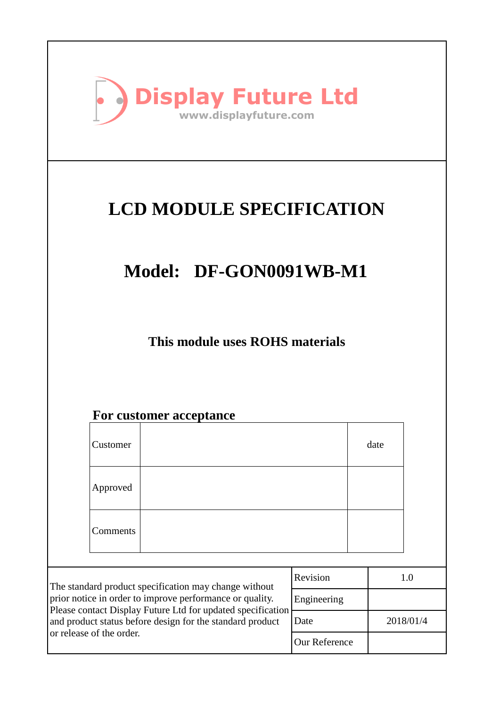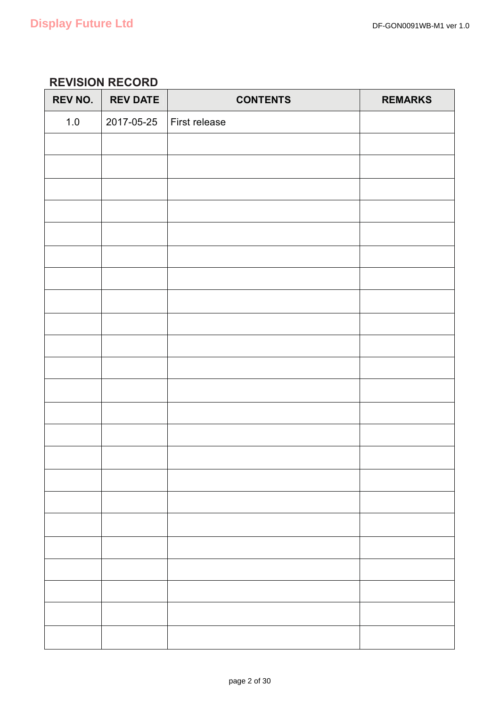### **REVISION RECORD**

| <b>REV NO.</b> | <b>REV DATE</b> | <b>CONTENTS</b> | <b>REMARKS</b> |
|----------------|-----------------|-----------------|----------------|
| $1.0$          | 2017-05-25      | First release   |                |
|                |                 |                 |                |
|                |                 |                 |                |
|                |                 |                 |                |
|                |                 |                 |                |
|                |                 |                 |                |
|                |                 |                 |                |
|                |                 |                 |                |
|                |                 |                 |                |
|                |                 |                 |                |
|                |                 |                 |                |
|                |                 |                 |                |
|                |                 |                 |                |
|                |                 |                 |                |
|                |                 |                 |                |
|                |                 |                 |                |
|                |                 |                 |                |
|                |                 |                 |                |
|                |                 |                 |                |
|                |                 |                 |                |
|                |                 |                 |                |
|                |                 |                 |                |
|                |                 |                 |                |
|                |                 |                 |                |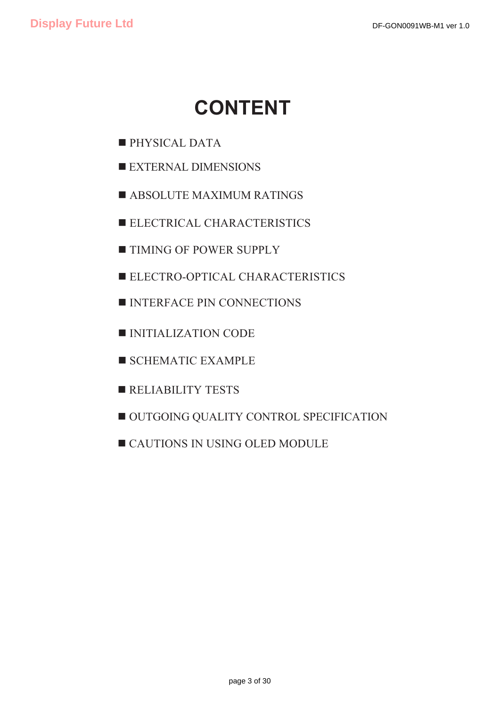# **CONTENT**

- **PHYSICAL DATA**
- **EXTERNAL DIMENSIONS**
- **E ABSOLUTE MAXIMUM RATINGS**
- **ELECTRICAL CHARACTERISTICS**
- **TIMING OF POWER SUPPLY**
- **ELECTRO-OPTICAL CHARACTERISTICS**
- **INTERFACE PIN CONNECTIONS**
- **INITIALIZATION CODE**
- **SCHEMATIC EXAMPLE**
- **EXECUTE RELIABILITY TESTS**
- $\blacksquare$  **OUTGOING QUALITY CONTROL SPECIFICATION**
- **EXECUTIONS IN USING OLED MODULE**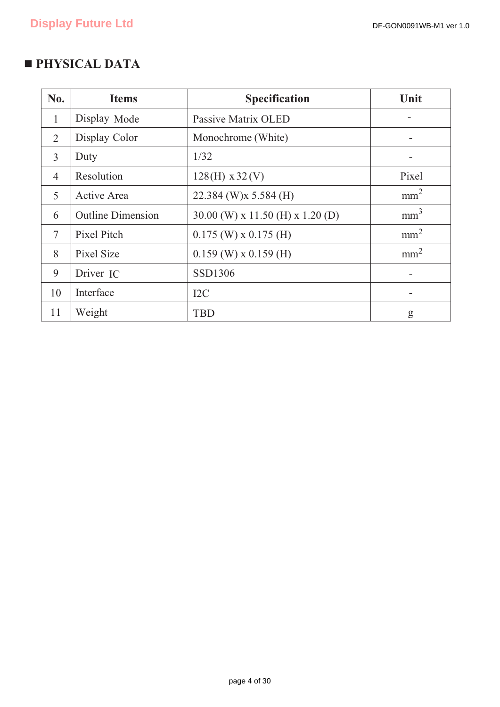## **PHYSICAL DATA**

| No.          | <b>Items</b>             | <b>Specification</b>             | Unit            |
|--------------|--------------------------|----------------------------------|-----------------|
| $\mathbf{1}$ | Display Mode             | Passive Matrix OLED              |                 |
| 2            | Display Color            | Monochrome (White)               |                 |
| 3            | Duty                     | 1/32                             |                 |
| 4            | Resolution               | $128(H) \times 32(V)$            | Pixel           |
| 5            | Active Area              | 22.384 (W)x 5.584 (H)            | mm <sup>2</sup> |
| 6            | <b>Outline Dimension</b> | 30.00 (W) x 11.50 (H) x 1.20 (D) | mm <sup>3</sup> |
| 7            | Pixel Pitch              | $0.175$ (W) x $0.175$ (H)        | mm <sup>2</sup> |
| 8            | Pixel Size               | $0.159$ (W) x $0.159$ (H)        | mm <sup>2</sup> |
| 9            | Driver IC                | SSD1306                          |                 |
| 10           | Interface                | I2C                              |                 |
| 11           | Weight                   | TBD                              | g               |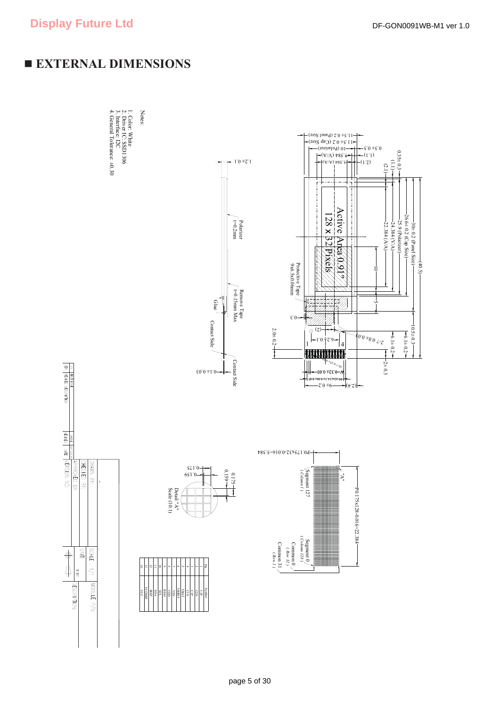## **EXTERNAL DIMENSIONS**

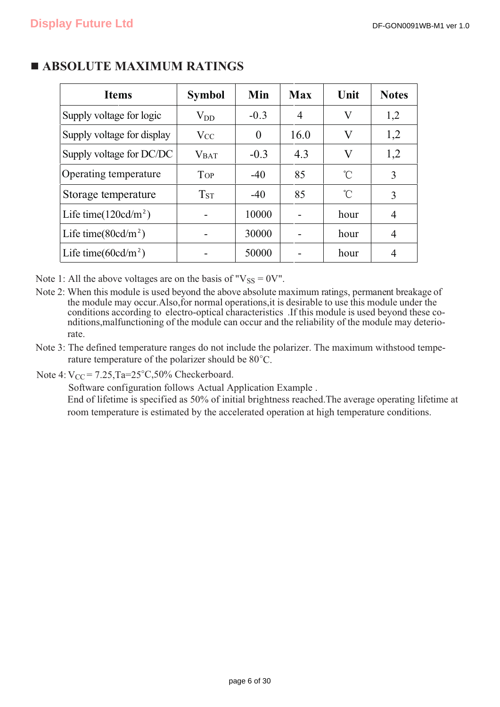| <b>Items</b>               | <b>Symbol</b>          | Min      | <b>Max</b> | Unit         | <b>Notes</b> |
|----------------------------|------------------------|----------|------------|--------------|--------------|
| Supply voltage for logic   | $\rm V_{DD}$           | $-0.3$   | 4          | V            | 1,2          |
| Supply voltage for display | $V_{CC}$               | $\theta$ | 16.0       | V            | 1,2          |
| Supply voltage for DC/DC   | <b>V</b> BAT           | $-0.3$   | 4.3        | $\rm{V}$     | 1,2          |
| Operating temperature      | <b>TOP</b>             | $-40$    | 85         | °C           | 3            |
| Storage temperature        | <b>T</b> <sub>ST</sub> | $-40$    | 85         | $^{\circ}$ C | 3            |
| Life time $(120cd/m^2)$    |                        | 10000    |            | hour         | 4            |
| Life time( $80cd/m^2$ )    |                        | 30000    |            | hour         | 4            |
| Life time( $60cd/m^2$ )    |                        | 50000    |            | hour         | 4            |

## **E ABSOLUTE MAXIMUM RATINGS**

Note 1: All the above voltages are on the basis of " $V_{SS} = 0V$ ".

- Note 2: When this module is used beyond the above absolute maximum ratings, permanent breakage of the module may occur.Also,for normal operations,it is desirable to use this module under the conditions according to electro-optical characteristics .If this module is used beyond these conditions,malfunctioning of the module can occur and the reliability of the module may deteriorate.
- rature temperature of the polarizer should be 80°C. Note 3: The defined temperature ranges do not include the polarizer. The maximum withstood tempe-

Note  $4: V_{CC} = 7.25$ , Ta= $25^{\circ}$ C, 50% Checkerboard.

Software configuration follows Actual Application Example . End of lifetime is specified as 50% of initial brightness reached.The average operating lifetime at room temperature is estimated by the accelerated operation at high temperature conditions.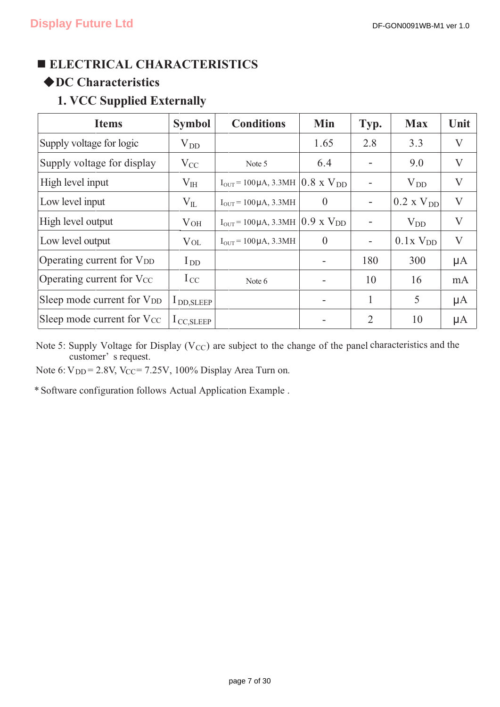## **ELECTRICAL CHARACTERISTICS**

## -**DC Characteristics**

## **1. VCC Supplied Externally**

| <b>Items</b>                           | <b>Symbol</b>         | <b>Conditions</b>                                                         | Min            | Typ.                         | <b>Max</b>             | Unit         |
|----------------------------------------|-----------------------|---------------------------------------------------------------------------|----------------|------------------------------|------------------------|--------------|
| Supply voltage for logic               | $\rm V_{DD}$          |                                                                           | 1.65           | 2.8                          | 3.3                    | V            |
| Supply voltage for display             | $V_{CC}$              | Note 5                                                                    | 6.4            |                              | 9.0                    | V            |
| High level input                       | $V_{HH}$              | $I_{\text{OUT}}$ = 100 µA, 3.3MH $\vert 0.8 \times V_{\text{DD}} \rangle$ |                | $\qquad \qquad \blacksquare$ | $V_{DD}$               | V            |
| Low level input                        | $\rm V_{II}$          | $I_{OUT} = 100 \mu A$ , 3.3MH                                             | $\theta$       | $\overline{\phantom{a}}$     | $0.2$ x $V_{DD}$       | $\rm V$      |
| High level output                      | $V_{OH}$              | $I_{OUT}$ = 100 µA, 3.3MH $(0.9 \times V_{DD})$                           |                |                              | $V_{DD}$               | $\mathbf{V}$ |
| Low level output                       | $\rm VoL$             | $I_{\text{OUT}}$ = 100 µA, 3.3MH                                          | $\overline{0}$ | $\qquad \qquad \blacksquare$ | $0.1x$ V <sub>DD</sub> | $\mathbf{V}$ |
| Operating current for V <sub>DD</sub>  | $I_{DD}$              |                                                                           |                | 180                          | 300                    | $\mu A$      |
| Operating current for V <sub>CC</sub>  | $I_{CC}$              | Note $6$                                                                  |                | 10                           | 16                     | mA           |
| Sleep mode current for V <sub>DD</sub> | I DD, SLEEP           |                                                                           |                | 1                            | 5                      | $\mu A$      |
| Sleep mode current for V <sub>CC</sub> | $1_{\text{CC,SLEEP}}$ |                                                                           |                | $\overline{2}$               | 10                     | $\mu A$      |

Note 5: Supply Voltage for Display ( $V_{\text{CC}}$ ) are subject to the change of the panel characteristics and the customer' s request.

Note 6:  $V_{DD} = 2.8V$ ,  $V_{CC} = 7.25V$ , 100% Display Area Turn on.

\* Software configuration follows Actual Application Example .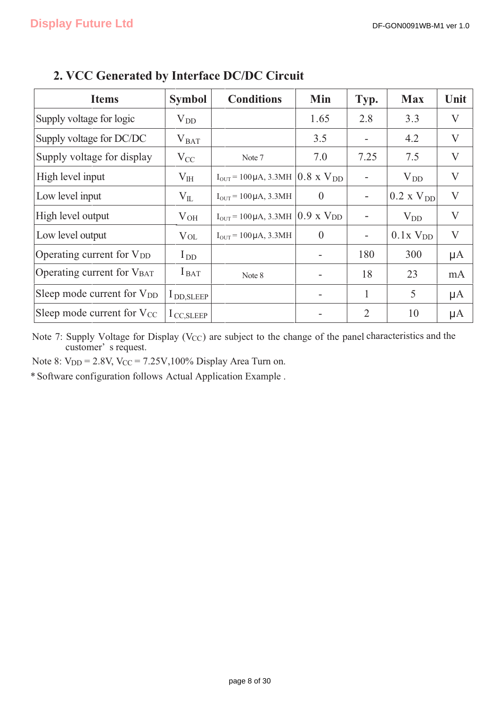| <b>Items</b>                           | <b>Symbol</b>         | <b>Conditions</b>                                                       | Min                          | Typ.                     | <b>Max</b>             | Unit                      |
|----------------------------------------|-----------------------|-------------------------------------------------------------------------|------------------------------|--------------------------|------------------------|---------------------------|
| Supply voltage for logic               | $V_{DD}$              |                                                                         | 1.65                         | 2.8                      | 3.3                    | V                         |
| Supply voltage for DC/DC               | $V_{BAT}$             |                                                                         | 3.5                          | -                        | 4.2                    | V                         |
| Supply voltage for display             | $V_{CC}$              | Note 7                                                                  | 7.0                          | 7.25                     | 7.5                    | $\rm V$                   |
| High level input                       | $V_{HH}$              | $I_{\text{OUT}}$ = 100 µA, 3.3MH $\vert 0.8 \times V_{\text{DD}} \vert$ |                              |                          | $V_{DD}$               | $\rm V$                   |
| Low level input                        | $V_{IL}$              | $I_{OUT} = 100 \mu A$ , 3.3MH                                           | $\overline{0}$               | $\overline{\phantom{a}}$ | $0.2 \times V_{DD}$    | $\rm V$                   |
| High level output                      | $V_{OH}$              | $I_{\text{OUT}}$ = 100 µA, 3.3MH                                        | $0.9$ x $V_{DD}$             |                          | $V_{DD}$               | $\boldsymbol{\mathrm{V}}$ |
| Low level output                       | $\rm V_{OL}$          | $I_{OUT} = 100 \mu A$ , 3.3MH                                           | $\theta$                     | $\overline{\phantom{a}}$ | $0.1x$ V <sub>DD</sub> | $\boldsymbol{\mathrm{V}}$ |
| Operating current for V <sub>DD</sub>  | $I_{DD}$              |                                                                         | $\overline{\phantom{a}}$     | 180                      | 300                    | $\mu A$                   |
| Operating current for VBAT             | $I_{\text{BAT}}$      | Note 8                                                                  | $\qquad \qquad \blacksquare$ | 18                       | 23                     | mA                        |
| Sleep mode current for V <sub>DD</sub> | $l_{\text{DD,SLEEP}}$ |                                                                         | $\qquad \qquad \blacksquare$ | 1                        | 5                      | $\mu A$                   |
| Sleep mode current for V <sub>CC</sub> | $1_{\text{CC,SLEEP}}$ |                                                                         |                              | $\overline{2}$           | 10                     | $\mu A$                   |

## **2. VCC Generated by Interface DC/DC Circuit**

Note 7: Supply Voltage for Display (V<sub>CC</sub>) are subject to the change of the panel characteristics and the customer' s request.

Note 8:  $V_{DD} = 2.8V$ ,  $V_{CC} = 7.25V$ , 100% Display Area Turn on.

\* Software configuration follows Actual Application Example .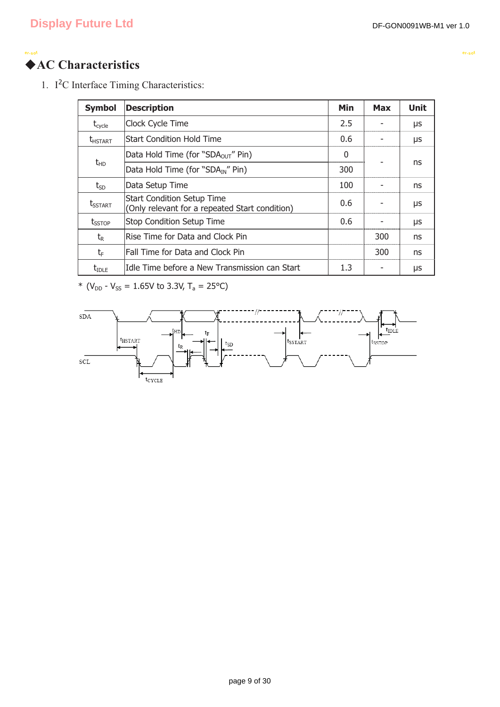**<sup>e</sup>r-sof**

### ◆**AC Characteristics <sup>e</sup>r-sof**

1. I<sup>2</sup>C Interface Timing Characteristics:

| <b>Symbol</b>              | <b>Description</b>                                                                  | Min | <b>Max</b> | <b>Unit</b> |
|----------------------------|-------------------------------------------------------------------------------------|-----|------------|-------------|
| $t_{\text{cycle}}$         | Clock Cycle Time                                                                    | 2.5 |            | μs          |
| <b>t</b> <sub>HSTART</sub> | <b>Start Condition Hold Time</b>                                                    | 0.6 |            | μs          |
|                            | Data Hold Time (for "SDA <sub>OUT</sub> " Pin)                                      | 0   |            |             |
| $t_{HD}$                   | Data Hold Time (for "SDA <sub>IN</sub> " Pin)                                       | 300 |            | ns          |
| $t_{SD}$                   | Data Setup Time                                                                     | 100 |            | ns          |
| t <sub>sstart</sub>        | <b>Start Condition Setup Time</b><br>(Only relevant for a repeated Start condition) | 0.6 |            | μs          |
| t <sub>sstop</sub>         | <b>Stop Condition Setup Time</b>                                                    | 0.6 |            | μs          |
| $t_{R}$                    | Rise Time for Data and Clock Pin                                                    |     | 300        | ns          |
| $t_{\text{F}}$             | Fall Time for Data and Clock Pin                                                    |     | 300        | ns          |
| $t_{\text{IDLE}}$          | Idle Time before a New Transmission can Start                                       | 1.3 |            | μs          |

\* ( $V_{DD}$  -  $V_{SS}$  = 1.65V to 3.3V, T<sub>a</sub> = 25°C)

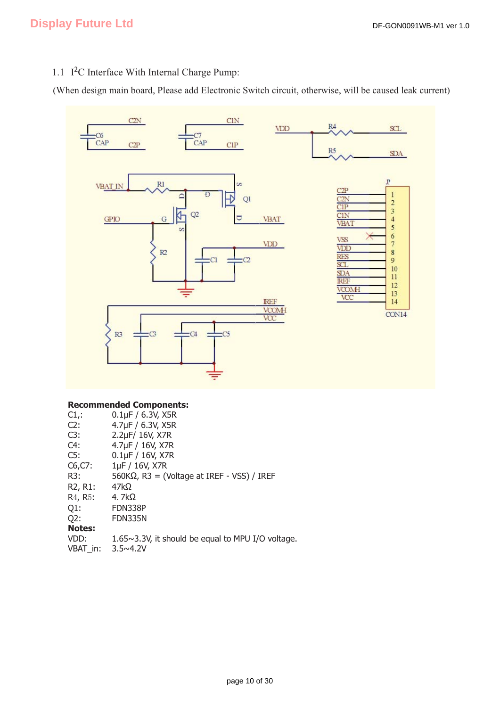### 1.1 I<sup>2</sup>C Interface With Internal Charge Pump:

(When design main board, Please add Electronic Switch circuit, otherwise, will be caused leak current)



### **Recommended Components:**

| $0.1\,\text{µF}$ / 6.3V, X5R                       |
|----------------------------------------------------|
| 4.7µF / 6.3V, X5R                                  |
| 2.2µF/ 16V, X7R                                    |
| 4.7µF / 16V, X7R                                   |
| $0.1\,\text{µF}$ / $16\,\text{V}$ , X7R            |
| 1µF / 16V, X7R                                     |
| $560K\Omega$ , R3 = (Voltage at IREF - VSS) / IREF |
| $47k\Omega$                                        |
| 4. $7k\Omega$                                      |
| FDN338P                                            |
| FDN335N                                            |
|                                                    |
| 1.65~3.3V, it should be equal to MPU I/O voltage.  |
| $3.5 \times 4.2V$                                  |
|                                                    |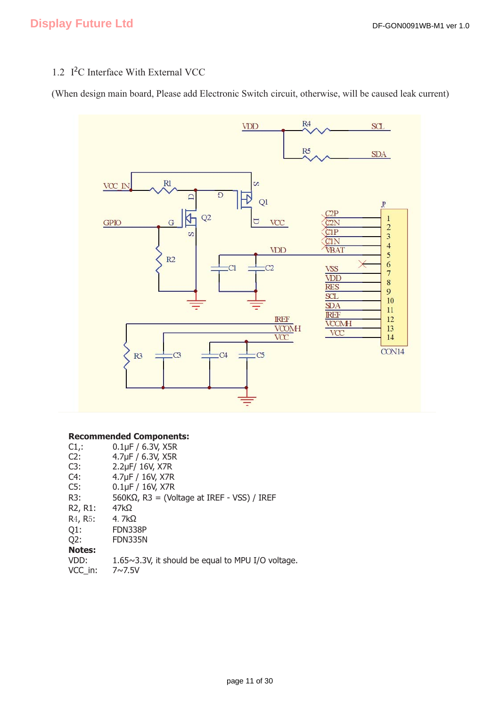### 1.2 I<sup>2</sup>C Interface With External VCC

(When design main board, Please add Electronic Switch circuit, otherwise, will be caused leak current)



#### **Recommended Components:**

| $C1$ .:                           | $0.1\mu F / 6.3V$ , X5R                                   |
|-----------------------------------|-----------------------------------------------------------|
| C2:                               | 4.7µF / 6.3V, X5R                                         |
| C3:                               | 2.2µF/ 16V, X7R                                           |
| C4:                               | 4.7µF / 16V, X7R                                          |
| C5:                               | $0.1\mu F / 16V$ , X7R                                    |
| R3:                               | $560K\Omega$ , R3 = (Voltage at IREF - VSS) / IREF        |
| R <sub>2</sub> , R <sub>1</sub> : | $47k\Omega$                                               |
| R <sub>4</sub> , R <sub>5</sub> : | 4. $7k\Omega$                                             |
| $Q1$ :                            | FDN338P                                                   |
| Q2:                               | FDN335N                                                   |
| <b>Notes:</b>                     |                                                           |
| VDD:                              | $1.65 \sim 3.3$ V, it should be equal to MPU I/O voltage. |
| VCC in:                           | $7 \sim 7.5 V$                                            |
|                                   |                                                           |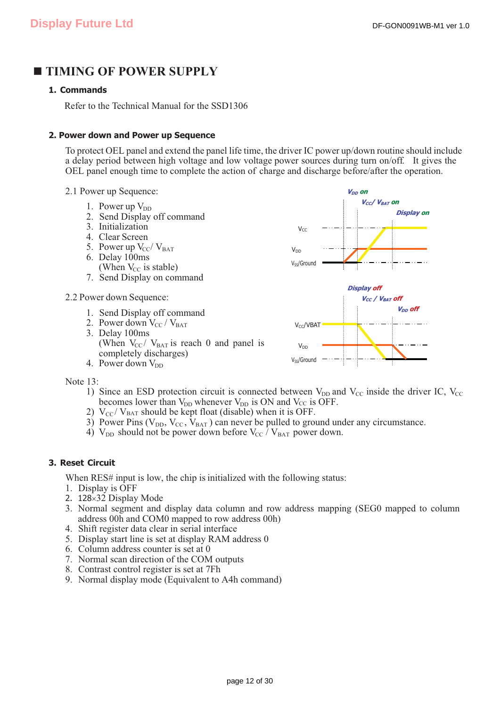### **TIMING OF POWER SUPPLY**

### **1. Commands**

Refer to the Technical Manual for the SSD1306

#### **2. Power down and Power up Sequence**

To protect OEL panel and extend the panel life time, the driver IC power up/down routine should include a delay period between high voltage and low voltage power sources during turn on/off. It gives the OEL panel enough time to complete the action of charge and discharge before/after the operation.

- 2.1 Power up Sequence:
	- 1. Power up  $V_{DD}$
	- 2. Send Display off command
	- 3. Initialization
	- 4. Clear Screen
	- 5. Power up  $V_{CC}/V_{BAT}$ 6. Delay 100ms
	- (When  $V_{CC}$  is stable) 7. Send Display on command
- 2.2 Power down Sequence:
	- 1. Send Display off command
	- 2. Power down  $V_{CC}/V_{BAT}$ 3. Delay 100ms (When  $V_{CC}/V_{BAT}$  is reach 0 and panel is completely discharges) 4. Power down  $V_{DD}$



Note 13:

- 1) Since an ESD protection circuit is connected between  $V_{DD}$  and  $V_{CC}$  inside the driver IC,  $V_{CC}$ becomes lower than  $V_{DD}$  whenever  $V_{DD}$  is ON and V<sub>CC</sub> is OFF.
- 2)  $V_{\text{CC}}/V_{\text{BAT}}$  should be kept float (disable) when it is OFF.
- 3) Power Pins ( $V_{DD}$ ,  $V_{CC}$ ,  $V_{BAT}$ ) can never be pulled to ground under any circumstance.
- 4)  $V_{DD}$  should not be power down before  $V_{CC}$  /  $V_{BAT}$  power down.

### **3. Reset Circuit**

When RES# input is low, the chip is initialized with the following status:

- 1. Display is OFF
- 2.  $128\times32$  Display Mode
- 3. Normal segment and display data column and row address mapping (SEG0 mapped to column address 00h and COM0 mapped to row address 00h)
- 4. Shift register data clear in serial interface
- 5. Display start line is set at display RAM address 0
- 6. Column address counter is set at 0
- 7. Normal scan direction of the COM outputs
- 8. Contrast control register is set at 7Fh
- 9. Normal display mode (Equivalent to A4h command)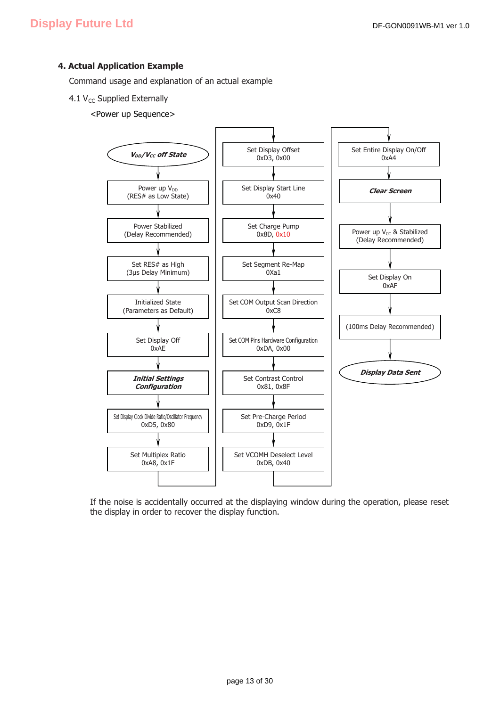### **4. Actual Application Example**

Command usage and explanation of an actual example

- 4.1  $V_{CC}$  Supplied Externally
	- <Power up Sequence>



If the noise is accidentally occurred at the displaying window during the operation, please reset the display in order to recover the display function.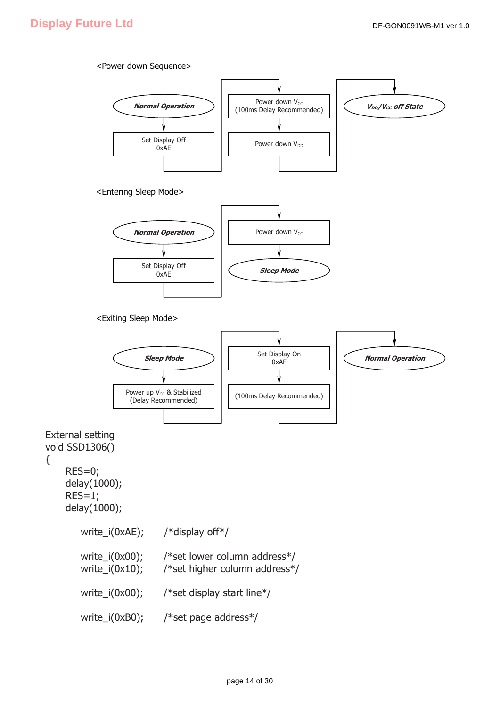{

#### <Power down Sequence>

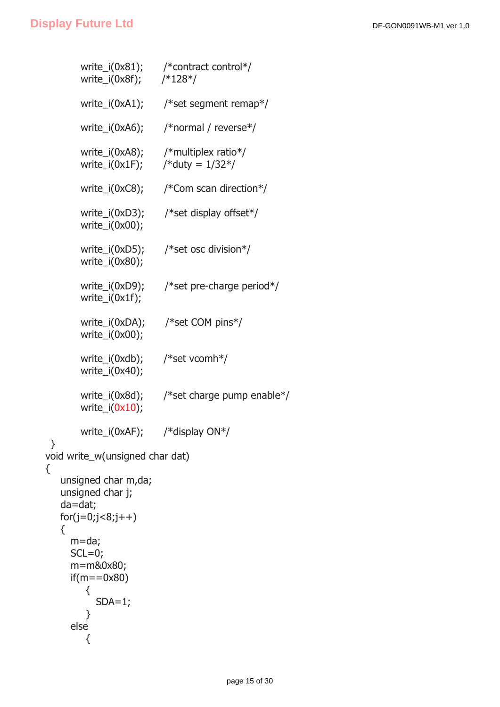}

{

```
 write_i(0x81); /*contract control*/ 
        write_i(0x8f); /*128*/ 
        write_i(0xA1); /*set segment remap*/ 
        write_i(0xA6); /*normal / reverse*/ 
       write i(0xA8); /*multiplex ratio*/
       write_i(0x1F); /* duty = 1/32*/ write_i(0xC8); /*Com scan direction*/ 
        write_i(0xD3); /*set display offset*/ 
        write_i(0x00); 
        write_i(0xD5); /*set osc division*/ 
        write_i(0x80); 
        write_i(0xD9); /*set pre-charge period*/ 
        write_i(0x1f); 
        write_i(0xDA); /*set COM pins*/ 
        write_i(0x00); 
        write_i(0xdb); /*set vcomh*/ 
        write_i(0x40); 
        write_i(0x8d); /*set charge pump enable*/ 
       write_i(0x10);
        write_i(0xAF); /*display ON*/ 
void write_w(unsigned char dat) 
    unsigned char m,da; 
    unsigned char j; 
    da=dat; 
   for(j=0,j<8,j++) { 
      m=da; 
     SCL=0; m=m&0x80; 
     if(m == 0x80) { 
           SDA=1;
         } 
      else 
         {
```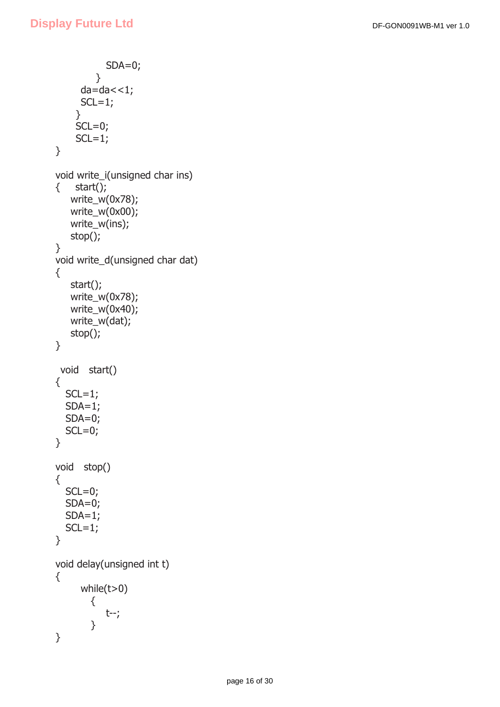```
 SDA=0; 
          } 
      da=da < 1;SCL=1; } 
    SCL=0;SCL=1;} 
void write_i(unsigned char ins) 
\{ start();
    write_w(0x78); 
    write_w(0x00); 
    write_w(ins); 
    stop(); 
} 
void write_d(unsigned char dat) 
{ 
    start(); 
    write_w(0x78); 
    write_w(0x40); 
    write_w(dat); 
    stop(); 
} 
  void start() 
{ 
  SCL=1;SDA=1; SDA=0; 
  SCL=0;} 
void stop() 
{ 
  SCL=0; SDA=0; 
  SDA=1;SCL=1;} 
void delay(unsigned int t) 
{ 
       while(t>0) 
         { 
             t--; 
         } 
}
```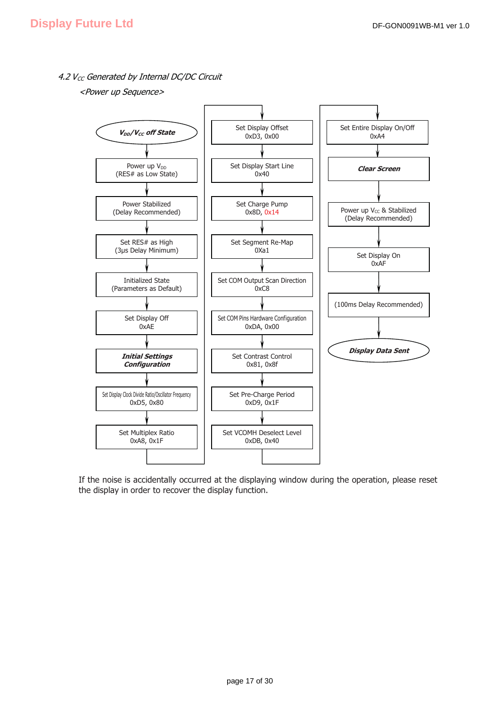4.2  $V_{CC}$  Generated by Internal DC/DC Circuit

<Power up Sequence>



If the noise is accidentally occurred at the displaying window during the operation, please reset the display in order to recover the display function.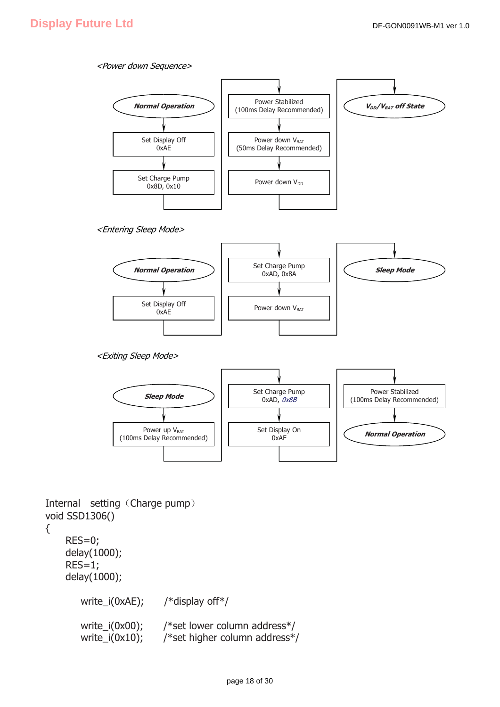#### <Power down Sequence>



```
<Entering Sleep Mode>
```


<Exiting Sleep Mode>



Internal setting (Charge pump) void SSD1306()

```
{
```
 RES=0; delay(1000); RES=1; delay(1000); write\_i(0xAE); /\*display off\*/ write\_i(0x00); /\*set lower column address\*/ write\_i(0x10); /\*set higher column address\*/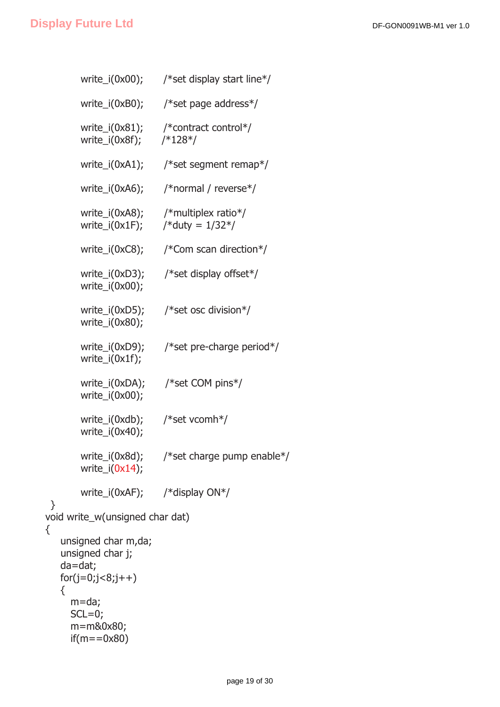}

{

{

```
write i(0x00); /*set display start line*/
        write_i(0xB0); /*set page address*/ 
        write_i(0x81); /*contract control*/ 
        write_i(0x8f); /*128*/ 
        write_i(0xA1); /*set segment remap*/ 
        write_i(0xA6); /*normal / reverse*/ 
        write_i(0xA8); /*multiplex ratio*/ 
       write_i(0x1F); /* duty = 1/32*/ write_i(0xC8); /*Com scan direction*/ 
       write_i(0xD3); /*set display offset*/
        write_i(0x00); 
       write i(0xD5); /*set osc division*/
        write_i(0x80); 
       write i(0xD9); /*set pre-charge period*/
        write_i(0x1f); 
       write i(0xDA); /*set COM pins*/
        write_i(0x00); 
        write_i(0xdb); /*set vcomh*/ 
        write_i(0x40); 
        write_i(0x8d); /*set charge pump enable*/ 
       write_i(0x14);
        write_i(0xAF); /*display ON*/ 
void write_w(unsigned char dat) 
    unsigned char m,da; 
    unsigned char j; 
    da=dat; 
   for(i=0; i<8; i++) m=da; 
     SCL=0; m=m&0x80; 
     if(m = 0x80)
```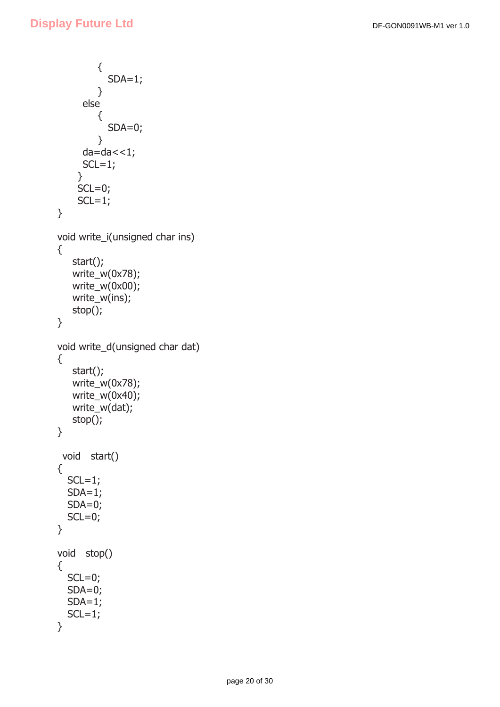```
 { 
            SDA=1;
          } 
      else 
          { 
            SDA=0; } 
      da=da < 1;SCL=1; } 
    SCL=0;SCL=1;} 
void write_i(unsigned char ins) 
{ 
    start(); 
    write_w(0x78); 
    write_w(0x00); 
    write_w(ins); 
    stop(); 
} 
void write_d(unsigned char dat) 
{ 
    start(); 
    write_w(0x78); 
    write_w(0x40); 
    write_w(dat); 
    stop(); 
} 
  void start() 
{ 
  SCL=1; SDA=1; 
  SDA=0;SCL=0;} 
void stop() 
{ 
  SCL=0;SDA=0;SDA=1;
  SCL=1;}
```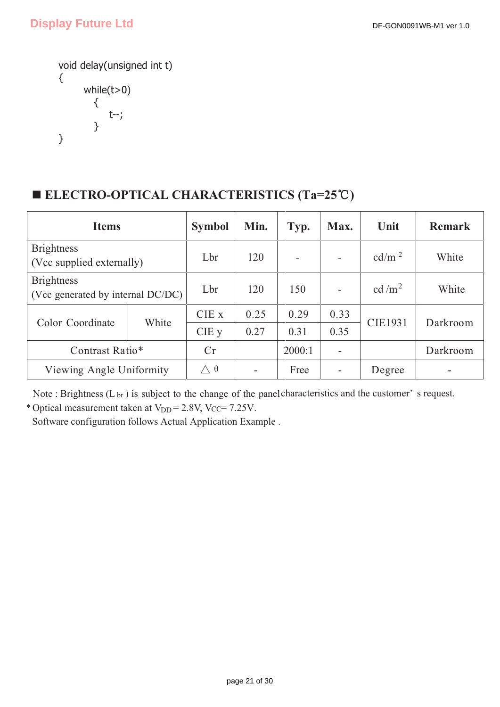```
void delay(unsigned int t) 
{ 
        while(t>0) 
          { 
              t--; 
          } 
}
```
## ■ **ELECTRO-OPTICAL CHARACTERISTICS** (Ta=25℃)

| <b>Items</b>                                           | <b>Symbol</b> | Min.              | Typ.                     | Max. | Unit            | <b>Remark</b>  |          |
|--------------------------------------------------------|---------------|-------------------|--------------------------|------|-----------------|----------------|----------|
| <b>Brightness</b><br>(Vcc supplied externally)         | Lbr           | 120               | Ξ.                       |      | $\text{cd/m}^2$ | White          |          |
| <b>Brightness</b><br>(Vcc generated by internal DC/DC) | Lbr           | 120               | 150                      |      | cd/ $m2$        | White          |          |
| Color Coordinate                                       | White         | CIE x             | 0.25                     | 0.29 | 0.33            | <b>CIE1931</b> | Darkroom |
|                                                        |               | $CIE$ y           | 0.27                     | 0.31 | 0.35            |                |          |
| Contrast Ratio*                                        | Cr            |                   | 2000:1                   |      |                 | Darkroom       |          |
| Viewing Angle Uniformity                               |               | $\wedge$ $\theta$ | $\overline{\phantom{0}}$ | Free |                 | Degree         |          |

\* Optical measurement taken at  $V_{DD} = 2.8V$ , Vcc= 7.25V. Note : Brightness (L<sub>br</sub>) is subject to the change of the panel characteristics and the customer' s request.

Software configuration follows Actual Application Example .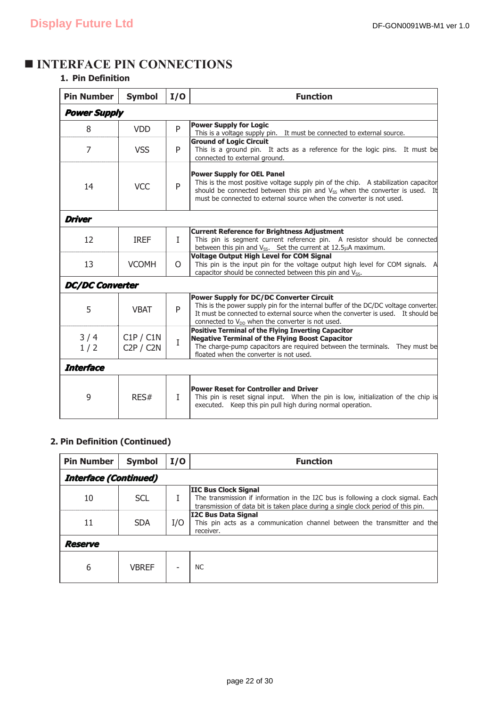## $\blacksquare$  **INTERFACE PIN CONNECTIONS**

### **1. Pin Definition**

| <b>Pin Number</b>      | <b>Symbol</b>          | I/O          | <b>Function</b>                                                                                                                                                                                                                                                                             |  |  |
|------------------------|------------------------|--------------|---------------------------------------------------------------------------------------------------------------------------------------------------------------------------------------------------------------------------------------------------------------------------------------------|--|--|
| <b>Power Supply</b>    |                        |              |                                                                                                                                                                                                                                                                                             |  |  |
| 8                      | <b>VDD</b>             | P            | <b>Power Supply for Logic</b><br>This is a voltage supply pin. It must be connected to external source.                                                                                                                                                                                     |  |  |
| 7                      | <b>VSS</b>             | P            | <b>Ground of Logic Circuit</b><br>This is a ground pin. It acts as a reference for the logic pins. It must be<br>connected to external ground.                                                                                                                                              |  |  |
| 14                     | <b>VCC</b>             | P            | <b>Power Supply for OEL Panel</b><br>This is the most positive voltage supply pin of the chip. A stabilization capacitor<br>should be connected between this pin and V <sub>SS</sub> when the converter is used. It<br>must be connected to external source when the converter is not used. |  |  |
| <b>Driver</b>          |                        |              |                                                                                                                                                                                                                                                                                             |  |  |
| 12                     | <b>IREF</b>            | $\mathbf{I}$ | <b>Current Reference for Brightness Adjustment</b><br>This pin is segment current reference pin. A resistor should be connected<br>between this pin and $V_{SS}$ . Set the current at 12.5 $\mu$ A maximum.                                                                                 |  |  |
| 13                     | <b>VCOMH</b>           | $\Omega$     | <b>Voltage Output High Level for COM Signal</b><br>This pin is the input pin for the voltage output high level for COM signals. A<br>capacitor should be connected between this pin and V <sub>ss</sub> .                                                                                   |  |  |
| <b>DC/DC Converter</b> |                        |              |                                                                                                                                                                                                                                                                                             |  |  |
| 5                      | <b>VBAT</b>            | P            | <b>Power Supply for DC/DC Converter Circuit</b><br>This is the power supply pin for the internal buffer of the DC/DC voltage converter.<br>It must be connected to external source when the converter is used. It should be<br>connected to $V_{DD}$ when the converter is not used.        |  |  |
| 3/4<br>1/2             | C1P / C1N<br>C2P / C2N | $\mathbf I$  | <b>Positive Terminal of the Flying Inverting Capacitor</b><br><b>Negative Terminal of the Flying Boost Capacitor</b><br>The charge-pump capacitors are required between the terminals. They must be<br>floated when the converter is not used.                                              |  |  |
| <b>Interface</b>       |                        |              |                                                                                                                                                                                                                                                                                             |  |  |
| 9                      | RES#                   | $\mathbf{I}$ | <b>Power Reset for Controller and Driver</b><br>This pin is reset signal input. When the pin is low, initialization of the chip is<br>executed. Keep this pin pull high during normal operation.                                                                                            |  |  |

### **2. Pin Definition (Continued)**

| <b>Pin Number</b>            | <b>Symbol</b> | I/O | <b>Function</b>                                                                                                                                                                                      |  |  |
|------------------------------|---------------|-----|------------------------------------------------------------------------------------------------------------------------------------------------------------------------------------------------------|--|--|
| <b>Interface (Continued)</b> |               |     |                                                                                                                                                                                                      |  |  |
| 10                           | <b>SCL</b>    |     | <b>IIC Bus Clock Signal</b><br>The transmission if information in the I2C bus is following a clock sigmal. Each<br>transmission of data bit is taken place during a single clock period of this pin. |  |  |
| 11                           | <b>SDA</b>    | I/O | <b>I2C Bus Data Signal</b><br>This pin acts as a communication channel between the transmitter and the<br>receiver.                                                                                  |  |  |
| Reserve                      |               |     |                                                                                                                                                                                                      |  |  |
| 6                            | VBREF         |     | <b>NC</b>                                                                                                                                                                                            |  |  |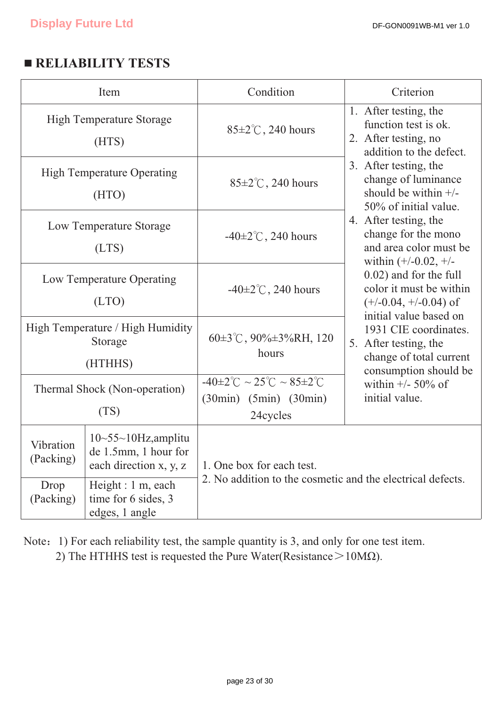## **EXECUTE RELIABILITY TESTS**

| Item                                                                                                         |                                                             | Condition                                                                                            | Criterion                                                                                              |  |  |
|--------------------------------------------------------------------------------------------------------------|-------------------------------------------------------------|------------------------------------------------------------------------------------------------------|--------------------------------------------------------------------------------------------------------|--|--|
| <b>High Temperature Storage</b><br>(HTS)                                                                     |                                                             | $85 \pm 2^{\circ}$ C, 240 hours                                                                      | 1. After testing, the<br>function test is ok.<br>2. After testing, no<br>addition to the defect.       |  |  |
| <b>High Temperature Operating</b><br>(HTO)                                                                   |                                                             | $85 \pm 2^{\circ}$ C, 240 hours                                                                      | 3. After testing, the<br>change of luminance<br>should be within $+/-$<br>50% of initial value.        |  |  |
| Low Temperature Storage<br>(LTS)                                                                             |                                                             | $-40\pm2\degree$ C, 240 hours                                                                        | 4. After testing, the<br>change for the mono<br>and area color must be<br>within $(+/-0.02, +/-)$      |  |  |
| Low Temperature Operating<br>(LTO)                                                                           |                                                             | -40 $\pm$ 2 $\degree$ C, 240 hours                                                                   | 0.02) and for the full<br>color it must be within<br>$(+/-0.04, +/-0.04)$ of<br>initial value based on |  |  |
| High Temperature / High Humidity<br>Storage<br>(HTHHS)                                                       |                                                             | 60±3°C, 90%±3%RH, 120<br>hours                                                                       | 1931 CIE coordinates.<br>5. After testing, the<br>change of total current<br>consumption should be     |  |  |
| Thermal Shock (Non-operation)<br>(TS)                                                                        |                                                             | $-40\pm2\degree C \sim 25\degree C \sim 85\pm2\degree C$<br>$(30min)$ $(5min)$ $(30min)$<br>24cycles | within $+/- 50\%$ of<br>initial value.                                                                 |  |  |
| $10 \sim 55 \sim 10$ Hz, amplitu<br>Vibration<br>de 1.5mm, 1 hour for<br>(Packing)<br>each direction x, y, z |                                                             | 1. One box for each test.                                                                            |                                                                                                        |  |  |
| Drop<br>(Packing)                                                                                            | Height : 1 m, each<br>time for 6 sides, 3<br>edges, 1 angle | 2. No addition to the cosmetic and the electrical defects.                                           |                                                                                                        |  |  |

Note: 1) For each reliability test, the sample quantity is 3, and only for one test item.

2) The HTHHS test is requested the Pure Water(Resistance  $>10M\Omega$ ).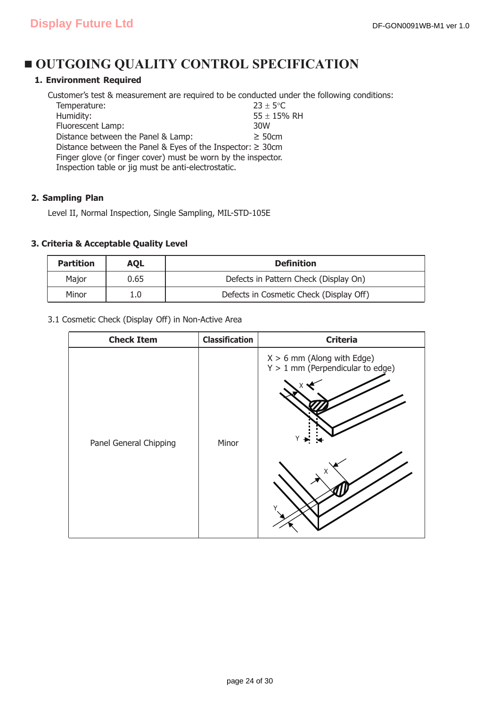## $\blacksquare$  **OUTGOING QUALITY CONTROL SPECIFICATION**

### **1. Environment Required**

Customer's test & measurement are required to be conducted under the following conditions: Temperature:  $23 \pm 5^{\circ}$ C  $\frac{3000}{255 \pm 15\% \text{ RH}}$ <br>Fluorescent Lamp:  $\frac{3000}{255 \pm 15\% \text{ RH}}$ Fluorescent Lamp: Distance between the Panel & Lamp:  $\geq$  50cm

Distance between the Panel & Eyes of the Inspector:  $\geq 30$ cm Finger glove (or finger cover) must be worn by the inspector. Inspection table or jig must be anti-electrostatic.

#### **2. Sampling Plan**

Level II, Normal Inspection, Single Sampling, MIL-STD-105E

#### **3. Criteria & Acceptable Quality Level**

| <b>Partition</b> | AQL  | <b>Definition</b>                       |
|------------------|------|-----------------------------------------|
| Maior            | 0.65 | Defects in Pattern Check (Display On)   |
| Minor            |      | Defects in Cosmetic Check (Display Off) |

#### 3.1 Cosmetic Check (Display Off) in Non-Active Area

| <b>Check Item</b>      | <b>Classification</b> | <b>Criteria</b>                                                         |
|------------------------|-----------------------|-------------------------------------------------------------------------|
| Panel General Chipping | Minor                 | $X > 6$ mm (Along with Edge)<br>$Y > 1$ mm (Perpendicular to edge)<br>Y |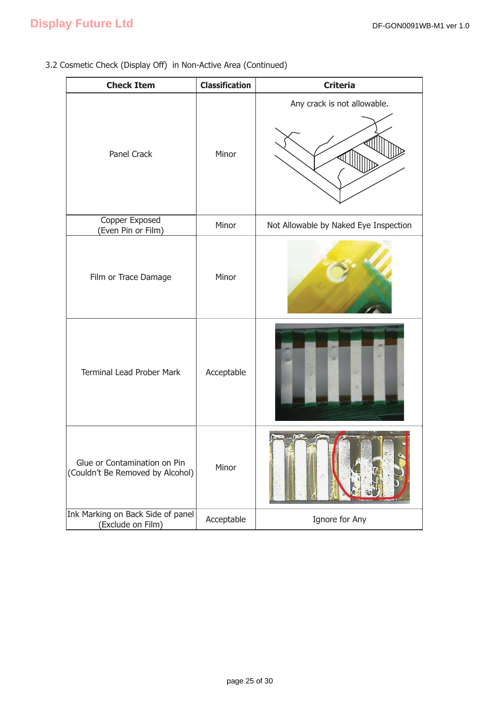3.2 Cosmetic Check (Display Off) in Non-Active Area (Continued)

| <b>Check Item</b>                                                | <b>Classification</b> | <b>Criteria</b>                       |
|------------------------------------------------------------------|-----------------------|---------------------------------------|
| Panel Crack                                                      | Minor                 | Any crack is not allowable.           |
| Copper Exposed<br>(Even Pin or Film)                             | Minor                 | Not Allowable by Naked Eye Inspection |
| Film or Trace Damage                                             | Minor                 |                                       |
| <b>Terminal Lead Prober Mark</b>                                 | Acceptable            |                                       |
| Glue or Contamination on Pin<br>(Couldn't Be Removed by Alcohol) | Minor                 |                                       |
| Ink Marking on Back Side of panel<br>(Exclude on Film)           | Acceptable            | Ignore for Any                        |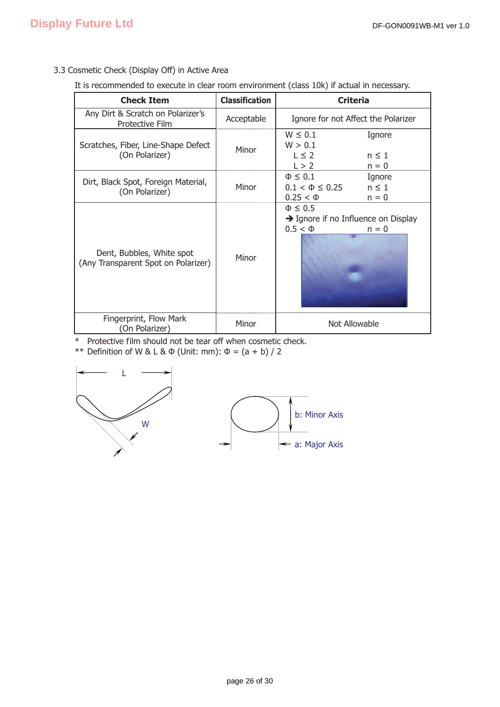### 3.3 Cosmetic Check (Display Off) in Active Area

It is recommended to execute in clear room environment (class 10k) if actual in necessary.

| <b>Check Item</b>                                                | <b>Classification</b> | <b>Criteria</b>                                                                               |
|------------------------------------------------------------------|-----------------------|-----------------------------------------------------------------------------------------------|
| Any Dirt & Scratch on Polarizer's<br>Protective Film             | Acceptable            | Ignore for not Affect the Polarizer                                                           |
| Scratches, Fiber, Line-Shape Defect<br>(On Polarizer)            | Minor                 | $W \leq 0.1$<br>Ignore<br>W > 0.1<br>$L \leq 2$<br>$n \leq 1$<br>L > 2<br>$n = 0$             |
| Dirt, Black Spot, Foreign Material,<br>(On Polarizer)            | Minor                 | $\Phi \leq 0.1$<br>Ignore<br>$n \leq 1$<br>$0.1 < \Phi \leq 0.25$<br>$0.25 < \Phi$<br>$n = 0$ |
| Dent, Bubbles, White spot<br>(Any Transparent Spot on Polarizer) | Minor                 | $\Phi \leq 0.5$<br>$\rightarrow$ Ignore if no Influence on Display<br>$0.5 < \Phi$<br>$n = 0$ |
| Fingerprint, Flow Mark<br>(On Polarizer)                         | Minor                 | Not Allowable                                                                                 |

\* Protective film should not be tear off when cosmetic check.

\*\* Definition of W & L &  $\Phi$  (Unit: mm):  $\Phi = (a + b) / 2$ 



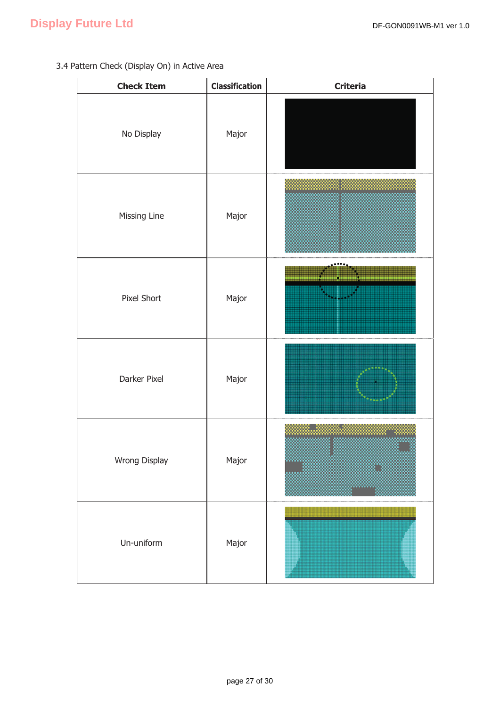### 3.4 Pattern Check (Display On) in Active Area

| <b>Check Item</b> | <b>Classification</b> | <b>Criteria</b> |
|-------------------|-----------------------|-----------------|
| No Display        | Major                 |                 |
| Missing Line      | Major                 |                 |
| Pixel Short       | Major                 |                 |
| Darker Pixel      | Major                 |                 |
| Wrong Display     | Major                 |                 |
| Un-uniform        | Major                 |                 |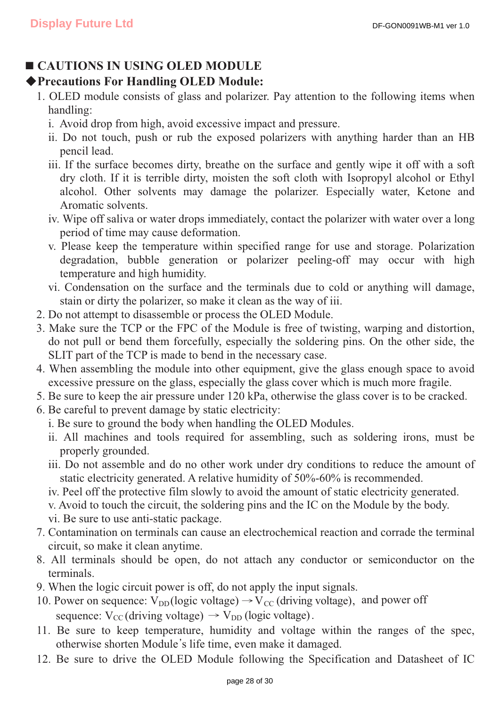## **CAUTIONS IN USING OLED MODULE**

### ƹ**Precautions For Handling OLED Module:**

- 1. OLED module consists of glass and polarizer. Pay attention to the following items when handling:
	- i. Avoid drop from high, avoid excessive impact and pressure.
	- ii. Do not touch, push or rub the exposed polarizers with anything harder than an HB pencil lead.
	- iii. If the surface becomes dirty, breathe on the surface and gently wipe it off with a soft dry cloth. If it is terrible dirty, moisten the soft cloth with Isopropyl alcohol or Ethyl alcohol. Other solvents may damage the polarizer. Especially water, Ketone and Aromatic solvents.
	- iv. Wipe off saliva or water drops immediately, contact the polarizer with water over a long period of time may cause deformation.
	- v. Please keep the temperature within specified range for use and storage. Polarization degradation, bubble generation or polarizer peeling-off may occur with high temperature and high humidity.
	- vi. Condensation on the surface and the terminals due to cold or anything will damage, stain or dirty the polarizer, so make it clean as the way of iii.
- 2. Do not attempt to disassemble or process the OLED Module.
- 3. Make sure the TCP or the FPC of the Module is free of twisting, warping and distortion, do not pull or bend them forcefully, especially the soldering pins. On the other side, the SLIT part of the TCP is made to bend in the necessary case.
- 4. When assembling the module into other equipment, give the glass enough space to avoid excessive pressure on the glass, especially the glass cover which is much more fragile.
- 5. Be sure to keep the air pressure under 120 kPa, otherwise the glass cover is to be cracked.
- 6. Be careful to prevent damage by static electricity:
	- i. Be sure to ground the body when handling the OLED Modules.
	- ii. All machines and tools required for assembling, such as soldering irons, must be properly grounded.
	- iii. Do not assemble and do no other work under dry conditions to reduce the amount of static electricity generated. A relative humidity of 50%-60% is recommended.
	- iv. Peel off the protective film slowly to avoid the amount of static electricity generated.
	- v. Avoid to touch the circuit, the soldering pins and the IC on the Module by the body.
	- vi. Be sure to use anti-static package.
- 7. Contamination on terminals can cause an electrochemical reaction and corrade the terminal circuit, so make it clean anytime.
- 8. All terminals should be open, do not attach any conductor or semiconductor on the terminals.
- 9. When the logic circuit power is off, do not apply the input signals.
- 10. Power on sequence:  $V_{DD}$ (logic voltage)  $\rightarrow$  V<sub>cc</sub> (driving voltage), and power off sequence:  $V_{\text{CC}}$  (driving voltage)  $\rightarrow$   $V_{\text{DD}}$  (logic voltage).
- 11. Be sure to keep temperature, humidity and voltage within the ranges of the spec, otherwise shorten Module's life time, even make it damaged.
- 12. Be sure to drive the OLED Module following the Specification and Datasheet of IC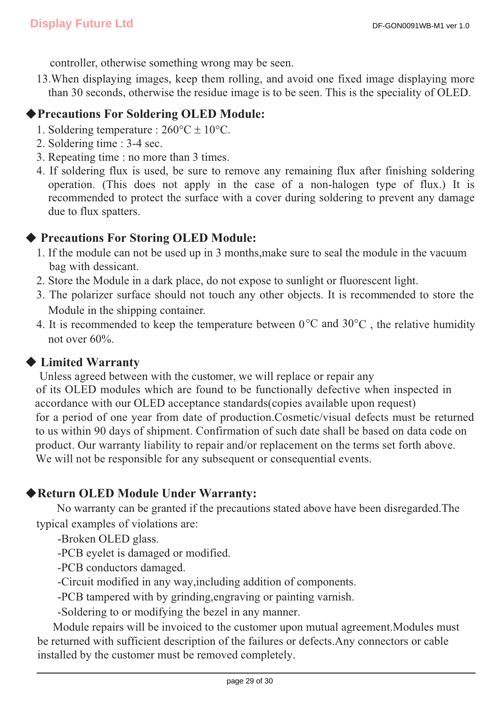controller, otherwise something wrong may be seen.

13.When displaying images, keep them rolling, and avoid one fixed image displaying more than 30 seconds, otherwise the residue image is to be seen. This is the speciality of OLED.

### ƹ**Precautions For Soldering OLED Module:**

- 1. Soldering temperature :  $260^{\circ}C \pm 10^{\circ}C$ .
- 2. Soldering time : 3-4 sec.
- 3. Repeating time : no more than 3 times.
- 4. If soldering flux is used, be sure to remove any remaining flux after finishing soldering operation. (This does not apply in the case of a non-halogen type of flux.) It is recommended to protect the surface with a cover during soldering to prevent any damage due to flux spatters.

## ◆ Precautions For Storing OLED Module:

- 1. If the module can not be used up in 3 months,make sure to seal the module in the vacuum bag with dessicant.
- 2. Store the Module in a dark place, do not expose to sunlight or fluorescent light.
- 3. The polarizer surface should not touch any other objects. It is recommended to store the Module in the shipping container.
- 4. It is recommended to keep the temperature between  $0^{\circ}$ C and  $30^{\circ}$ C, the relative humidity not over 60%.

### **◆ Limited Warranty**

 Unless agreed between with the customer, we will replace or repair any of its OLED modules which are found to be functionally defective when inspected in accordance with our OLED acceptance standards(copies available upon request) for a period of one year from date of production.Cosmetic/visual defects must be returned to us within 90 days of shipment. Confirmation of such date shall be based on data code on product. Our warranty liability to repair and/or replacement on the terms set forth above. We will not be responsible for any subsequent or consequential events.

## ƹ**Return OLED Module Under Warranty:**

 No warranty can be granted if the precautions stated above have been disregarded.The typical examples of violations are:

-Broken OLED glass.

-PCB eyelet is damaged or modified.

-PCB conductors damaged.

-Circuit modified in any way,including addition of components.

-PCB tampered with by grinding,engraving or painting varnish.

-Soldering to or modifying the bezel in any manner.

 Module repairs will be invoiced to the customer upon mutual agreement.Modules must be returned with sufficient description of the failures or defects.Any connectors or cable installed by the customer must be removed completely.